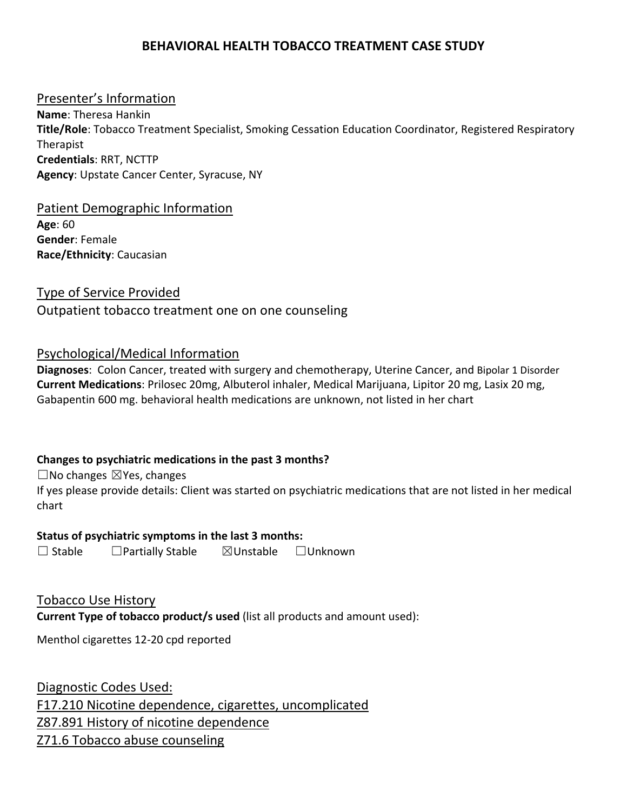### **BEHAVIORAL HEALTH TOBACCO TREATMENT CASE STUDY**

#### Presenter's Information

**Name**: Theresa Hankin **Title/Role**: Tobacco Treatment Specialist, Smoking Cessation Education Coordinator, Registered Respiratory Therapist **Credentials**: RRT, NCTTP **Agency**: Upstate Cancer Center, Syracuse, NY

#### Patient Demographic Information

**Age**: 60 **Gender**: Female **Race/Ethnicity**: Caucasian

# Type of Service Provided Outpatient tobacco treatment one on one counseling

#### Psychological/Medical Information

**Diagnoses**: Colon Cancer, treated with surgery and chemotherapy, Uterine Cancer, and Bipolar 1 Disorder **Current Medications**: Prilosec 20mg, Albuterol inhaler, Medical Marijuana, Lipitor 20 mg, Lasix 20 mg, Gabapentin 600 mg. behavioral health medications are unknown, not listed in her chart

#### **Changes to psychiatric medications in the past 3 months?**

 $\Box$ No changes  $\boxtimes$ Yes, changes

If yes please provide details: Client was started on psychiatric medications that are not listed in her medical chart

#### **Status of psychiatric symptoms in the last 3 months:**

☐ Stable ☐Partially Stable ☒Unstable ☐Unknown

Tobacco Use History **Current Type of tobacco product/s used** (list all products and amount used):

Menthol cigarettes 12‐20 cpd reported

Diagnostic Codes Used: F17.210 Nicotine dependence, cigarettes, uncomplicated Z87.891 History of nicotine dependence Z71.6 Tobacco abuse counseling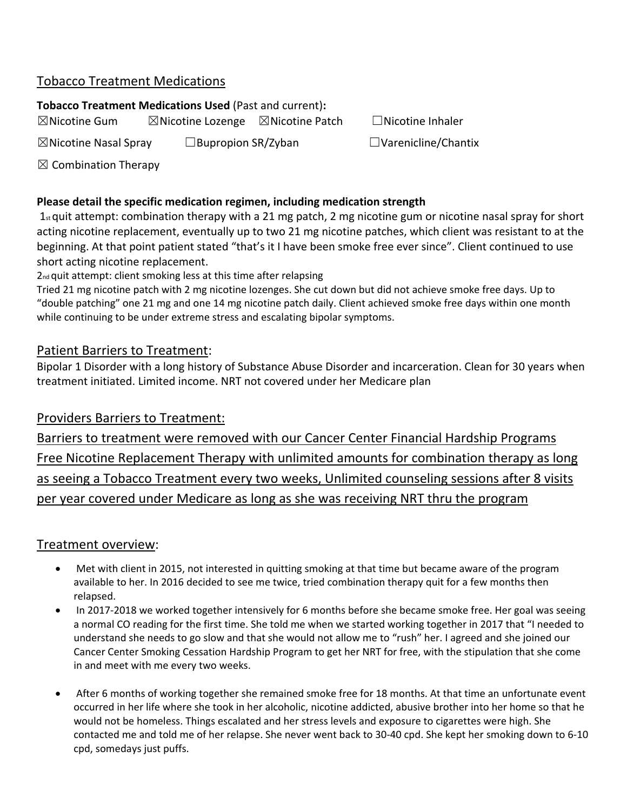# Tobacco Treatment Medications

#### **Tobacco Treatment Medications Used** (Past and current)**:**

 $\boxtimes$ Nicotine Gum  $\boxtimes$ Nicotine Lozenge  $\boxtimes$ Nicotine Patch  $\Box$ Nicotine Inhaler

☒Nicotine Nasal Spray ☐Bupropion SR/Zyban ☐Varenicline/Chantix

 $\boxtimes$  Combination Therapy

### **Please detail the specific medication regimen, including medication strength**

 $1_{st}$  quit attempt: combination therapy with a 21 mg patch, 2 mg nicotine gum or nicotine nasal spray for short acting nicotine replacement, eventually up to two 21 mg nicotine patches, which client was resistant to at the beginning. At that point patient stated "that's it I have been smoke free ever since". Client continued to use short acting nicotine replacement.

2<sup>nd</sup> quit attempt: client smoking less at this time after relapsing

Tried 21 mg nicotine patch with 2 mg nicotine lozenges. She cut down but did not achieve smoke free days. Up to "double patching" one 21 mg and one 14 mg nicotine patch daily. Client achieved smoke free days within one month while continuing to be under extreme stress and escalating bipolar symptoms.

# Patient Barriers to Treatment:

Bipolar 1 Disorder with a long history of Substance Abuse Disorder and incarceration. Clean for 30 years when treatment initiated. Limited income. NRT not covered under her Medicare plan

# Providers Barriers to Treatment:

Barriers to treatment were removed with our Cancer Center Financial Hardship Programs Free Nicotine Replacement Therapy with unlimited amounts for combination therapy as long as seeing a Tobacco Treatment every two weeks, Unlimited counseling sessions after 8 visits per year covered under Medicare as long as she was receiving NRT thru the program

# Treatment overview:

- Met with client in 2015, not interested in quitting smoking at that time but became aware of the program available to her. In 2016 decided to see me twice, tried combination therapy quit for a few months then relapsed.
- In 2017-2018 we worked together intensively for 6 months before she became smoke free. Her goal was seeing a normal CO reading for the first time. She told me when we started working together in 2017 that "I needed to understand she needs to go slow and that she would not allow me to "rush" her. I agreed and she joined our Cancer Center Smoking Cessation Hardship Program to get her NRT for free, with the stipulation that she come in and meet with me every two weeks.
- After 6 months of working together she remained smoke free for 18 months. At that time an unfortunate event occurred in her life where she took in her alcoholic, nicotine addicted, abusive brother into her home so that he would not be homeless. Things escalated and her stress levels and exposure to cigarettes were high. She contacted me and told me of her relapse. She never went back to 30‐40 cpd. She kept her smoking down to 6‐10 cpd, somedays just puffs.